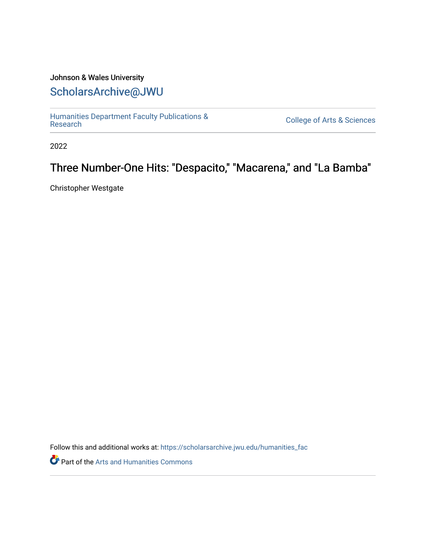#### Johnson & Wales University [ScholarsArchive@JWU](https://scholarsarchive.jwu.edu/)

[Humanities Department Faculty Publications &](https://scholarsarchive.jwu.edu/humanities_fac)

**College of Arts & Sciences** 

2022

#### Three Number-One Hits: "Despacito," "Macarena," and "La Bamba"

Christopher Westgate

Follow this and additional works at: [https://scholarsarchive.jwu.edu/humanities\\_fac](https://scholarsarchive.jwu.edu/humanities_fac?utm_source=scholarsarchive.jwu.edu%2Fhumanities_fac%2F46&utm_medium=PDF&utm_campaign=PDFCoverPages)

Part of the [Arts and Humanities Commons](http://network.bepress.com/hgg/discipline/438?utm_source=scholarsarchive.jwu.edu%2Fhumanities_fac%2F46&utm_medium=PDF&utm_campaign=PDFCoverPages)